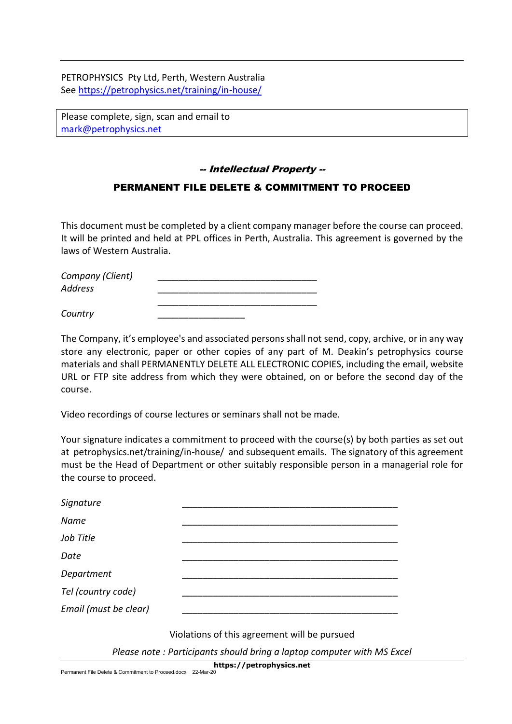PETROPHYSICS Pty Ltd, Perth, Western Australia See<https://petrophysics.net/training/in-house/>

Please complete, sign, scan and email to [mark@petrophysics.net](mailto:mark@petrophysics.net)

# -- Intellectual Property --

# PERMANENT FILE DELETE & COMMITMENT TO PROCEED

This document must be completed by a client company manager before the course can proceed. It will be printed and held at PPL offices in Perth, Australia. This agreement is governed by the laws of Western Australia.

| Company (Client) |  |
|------------------|--|
| <b>Address</b>   |  |
|                  |  |
| Country          |  |

The Company, it's employee's and associated persons shall not send, copy, archive, or in any way store any electronic, paper or other copies of any part of M. Deakin's petrophysics course materials and shall PERMANENTLY DELETE ALL ELECTRONIC COPIES, including the email, website URL or FTP site address from which they were obtained, on or before the second day of the course.

Video recordings of course lectures or seminars shall not be made.

Your signature indicates a commitment to proceed with the course(s) by both parties as set out at [petrophysics.net/training/in-house/](https://www.petrophysics.net/training/in-house/) and subsequent emails. The signatory of this agreement must be the Head of Department or other suitably responsible person in a managerial role for the course to proceed.

| Signature             |                                              |
|-----------------------|----------------------------------------------|
| Name                  |                                              |
| Job Title             |                                              |
| Date                  |                                              |
| Department            |                                              |
| Tel (country code)    |                                              |
| Email (must be clear) |                                              |
|                       | Violations of this agreement will be pursued |

*Please note : Participants should bring a laptop computer with MS Excel*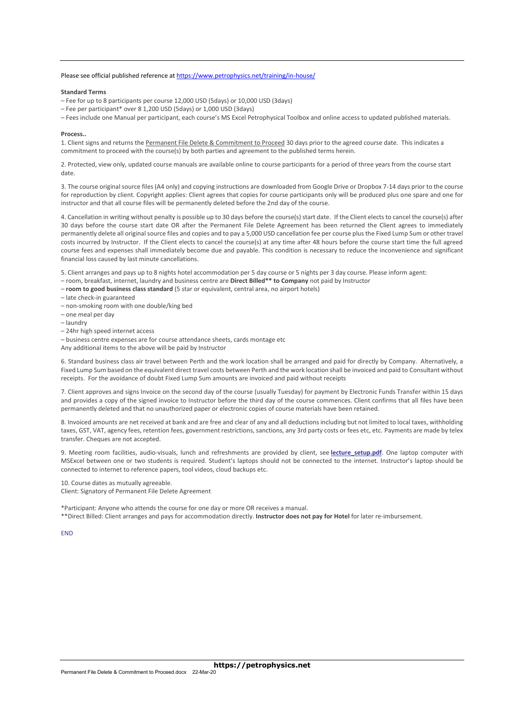### Please see official published reference at <https://www.petrophysics.net/training/in-house/>

#### **Standard Terms**

– Fee for up to 8 participants per course 12,000 USD (5days) or 10,000 USD (3days)

– Fee per participant\* over 8 1,200 USD (5days) or 1,000 USD (3days)

– Fees include one Manual per participant, each course's MS Excel Petrophysical Toolbox and online access to updated published materials.

#### **Process..**

1. Client signs and returns the [Permanent File Delete & Commitment to Proceed](http://petrophysics.net/wp-content/uploads/2016/09/Permanent-File-Delete.pdf) 30 days prior to the agreed course date. This indicates a commitment to proceed with the course(s) by both parties and agreement to the published terms herein.

2. Protected, view only, updated course manuals are available online to course participants for a period of three years from the course start date.

3. The course original source files (A4 only) and copying instructions are downloaded from Google Drive or Dropbox 7-14 days prior to the course for reproduction by client. Copyright applies: Client agrees that copies for course participants only will be produced plus one spare and one for instructor and that all course files will be permanently deleted before the 2nd day of the course.

4. Cancellation in writing without penalty is possible up to 30 days before the course(s) start date. If the Client elects to cancel the course(s) after 30 days before the course start date OR after the Permanent File Delete Agreement has been returned the Client agrees to immediately permanently delete all original source files and copies and to pay a 5,000 USD cancellation fee per course plus the Fixed Lump Sum or other travel costs incurred by Instructor. If the Client elects to cancel the course(s) at any time after 48 hours before the course start time the full agreed course fees and expenses shall immediately become due and payable. This condition is necessary to reduce the inconvenience and significant financial loss caused by last minute cancellations.

5. Client arranges and pays up to 8 nights hotel accommodation per 5 day course or 5 nights per 3 day course. Please inform agent:

– room, breakfast, internet, laundry and business centre are **Direct Billed\*\* to Company** not paid by Instructor

– **room to good business class standard** (5 star or equivalent, central area, no airport hotels)

- late check-in guaranteed
- non-smoking room with one double/king bed
- one meal per day
- laundry
- 24hr high speed internet access

– business centre expenses are for course attendance sheets, cards montage etc

Any additional items to the above will be paid by Instructor

6. Standard business class air travel between Perth and the work location shall be arranged and paid for directly by Company. Alternatively, a Fixed Lump Sum based on the equivalent direct travel costs between Perth and the work location shall be invoiced and paid to Consultant without receipts. For the avoidance of doubt Fixed Lump Sum amounts are invoiced and paid without receipts

7. Client approves and signs Invoice on the second day of the course (usually Tuesday) for payment by Electronic Funds Transfer within 15 days and provides a copy of the signed invoice to Instructor before the third day of the course commences. Client confirms that all files have been permanently deleted and that no unauthorized paper or electronic copies of course materials have been retained.

8. Invoiced amounts are net received at bank and are free and clear of any and all deductions including but not limited to local taxes, withholding taxes, GST, VAT, agency fees, retention fees, government restrictions, sanctions, any 3rd party costs or fees etc, etc. Payments are made by telex transfer. Cheques are not accepted.

9. Meeting room facilities, audio-visuals, lunch and refreshments are provided by client, see *lecture setup.pdf*. One laptop computer with MSExcel between one or two students is required. Student's laptops should not be connected to the internet. Instructor's laptop should be connected to internet to reference papers, tool videos, cloud backups etc.

10. Course dates as mutually agreeable.

Client: Signatory of Permanent File Delete Agreement

\*Participant: Anyone who attends the course for one day or more OR receives a manual.

\*\*Direct Billed: Client arranges and pays for accommodation directly. **Instructor does not pay for Hotel** for later re-imbursement.